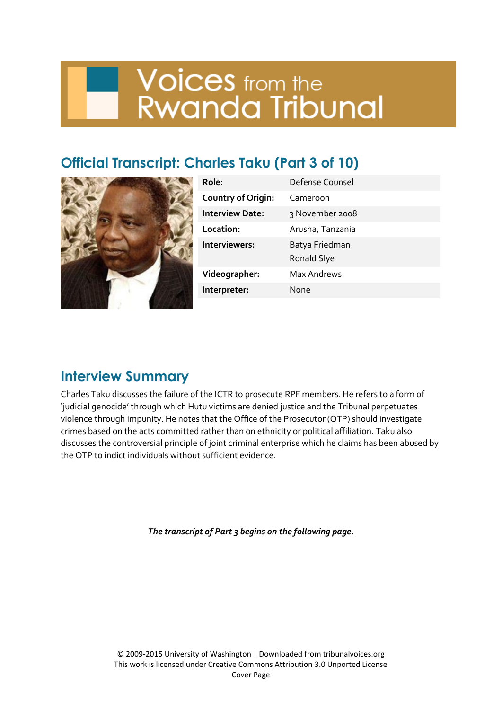# **Voices** from the<br>Rwanda Tribunal

## **Official Transcript: Charles Taku (Part 3 of 10)**



| Role:                     | Defense Counsel               |
|---------------------------|-------------------------------|
| <b>Country of Origin:</b> | Cameroon                      |
| <b>Interview Date:</b>    | 3 November 2008               |
| Location:                 | Arusha, Tanzania              |
| Interviewers:             | Batya Friedman<br>Ronald Slye |
| Videographer:             | <b>Max Andrews</b>            |
| Interpreter:              | None                          |
|                           |                               |

### **Interview Summary**

Charles Taku discusses the failure of the ICTR to prosecute RPF members. He refers to a form of 'judicial genocide' through which Hutu victims are denied justice and the Tribunal perpetuates violence through impunity. He notes that the Office of the Prosecutor (OTP) should investigate crimes based on the acts committed rather than on ethnicity or political affiliation. Taku also discusses the controversial principle of joint criminal enterprise which he claims has been abused by the OTP to indict individuals without sufficient evidence.

*The transcript of Part 3 begins on the following page.*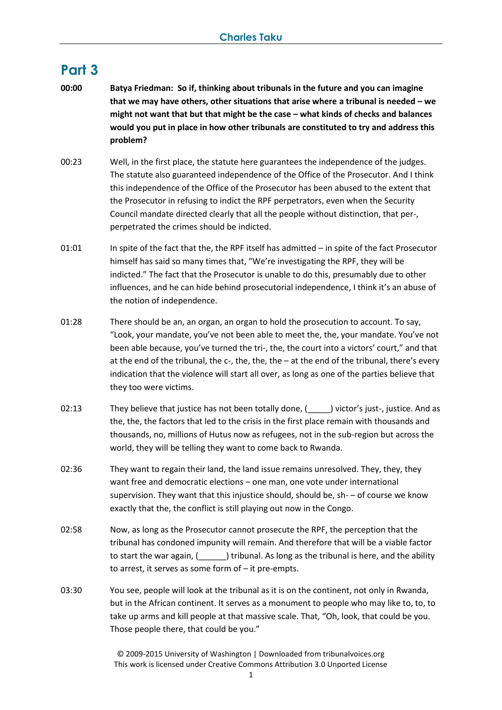#### **Part 3**

- **00:00 Batya Friedman: So if, thinking about tribunals in the future and you can imagine that we may have others, other situations that arise where a tribunal is needed – we might not want that but that might be the case – what kinds of checks and balances would you put in place in how other tribunals are constituted to try and address this problem?**
- 00:23 Well, in the first place, the statute here guarantees the independence of the judges. The statute also guaranteed independence of the Office of the Prosecutor. And I think this independence of the Office of the Prosecutor has been abused to the extent that the Prosecutor in refusing to indict the RPF perpetrators, even when the Security Council mandate directed clearly that all the people without distinction, that per-, perpetrated the crimes should be indicted.
- 01:01 In spite of the fact that the, the RPF itself has admitted in spite of the fact Prosecutor himself has said so many times that, "We're investigating the RPF, they will be indicted." The fact that the Prosecutor is unable to do this, presumably due to other influences, and he can hide behind prosecutorial independence, I think it's an abuse of the notion of independence.
- 01:28 There should be an, an organ, an organ to hold the prosecution to account. To say, "Look, your mandate, you've not been able to meet the, the, your mandate. You've not been able because, you've turned the tri-, the, the court into a victors' court," and that at the end of the tribunal, the c-, the, the, the - at the end of the tribunal, there's every indication that the violence will start all over, as long as one of the parties believe that they too were victims.
- 02:13 They believe that justice has not been totally done,  $($  ) victor's just-, justice. And as the, the, the factors that led to the crisis in the first place remain with thousands and thousands, no, millions of Hutus now as refugees, not in the sub-region but across the world, they will be telling they want to come back to Rwanda.
- 02:36 They want to regain their land, the land issue remains unresolved. They, they, they want free and democratic elections – one man, one vote under international supervision. They want that this injustice should, should be, sh- – of course we know exactly that the, the conflict is still playing out now in the Congo.
- 02:58 Now, as long as the Prosecutor cannot prosecute the RPF, the perception that the tribunal has condoned impunity will remain. And therefore that will be a viable factor to start the war again,  $($   $)$  tribunal. As long as the tribunal is here, and the ability to arrest, it serves as some form of – it pre-empts.
- 03:30 You see, people will look at the tribunal as it is on the continent, not only in Rwanda, but in the African continent. It serves as a monument to people who may like to, to, to take up arms and kill people at that massive scale. That, "Oh, look, that could be you. Those people there, that could be you."

© 2009-2015 University of Washington | Downloaded from tribunalvoices.org This work is licensed under Creative Commons Attribution 3.0 Unported License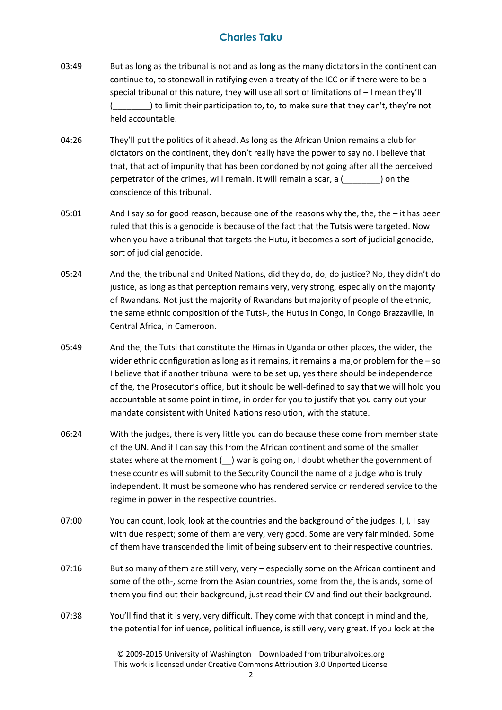- 03:49 But as long as the tribunal is not and as long as the many dictators in the continent can continue to, to stonewall in ratifying even a treaty of the ICC or if there were to be a special tribunal of this nature, they will use all sort of limitations of – I mean they'll ) to limit their participation to, to, to make sure that they can't, they're not held accountable.
- 04:26 They'll put the politics of it ahead. As long as the African Union remains a club for dictators on the continent, they don't really have the power to say no. I believe that that, that act of impunity that has been condoned by not going after all the perceived perpetrator of the crimes, will remain. It will remain a scar, a (\_\_\_\_\_\_\_\_) on the conscience of this tribunal.
- 05:01 And I say so for good reason, because one of the reasons why the, the, the it has been ruled that this is a genocide is because of the fact that the Tutsis were targeted. Now when you have a tribunal that targets the Hutu, it becomes a sort of judicial genocide, sort of judicial genocide.
- 05:24 And the, the tribunal and United Nations, did they do, do, do justice? No, they didn't do justice, as long as that perception remains very, very strong, especially on the majority of Rwandans. Not just the majority of Rwandans but majority of people of the ethnic, the same ethnic composition of the Tutsi-, the Hutus in Congo, in Congo Brazzaville, in Central Africa, in Cameroon.
- 05:49 And the, the Tutsi that constitute the Himas in Uganda or other places, the wider, the wider ethnic configuration as long as it remains, it remains a major problem for the – so I believe that if another tribunal were to be set up, yes there should be independence of the, the Prosecutor's office, but it should be well-defined to say that we will hold you accountable at some point in time, in order for you to justify that you carry out your mandate consistent with United Nations resolution, with the statute.
- 06:24 With the judges, there is very little you can do because these come from member state of the UN. And if I can say this from the African continent and some of the smaller states where at the moment (  $\Box$ ) war is going on, I doubt whether the government of these countries will submit to the Security Council the name of a judge who is truly independent. It must be someone who has rendered service or rendered service to the regime in power in the respective countries.
- 07:00 You can count, look, look at the countries and the background of the judges. I, I, I say with due respect; some of them are very, very good. Some are very fair minded. Some of them have transcended the limit of being subservient to their respective countries.
- 07:16 But so many of them are still very, very especially some on the African continent and some of the oth-, some from the Asian countries, some from the, the islands, some of them you find out their background, just read their CV and find out their background.
- 07:38 You'll find that it is very, very difficult. They come with that concept in mind and the, the potential for influence, political influence, is still very, very great. If you look at the

© 2009-2015 University of Washington | Downloaded from tribunalvoices.org This work is licensed under Creative Commons Attribution 3.0 Unported License